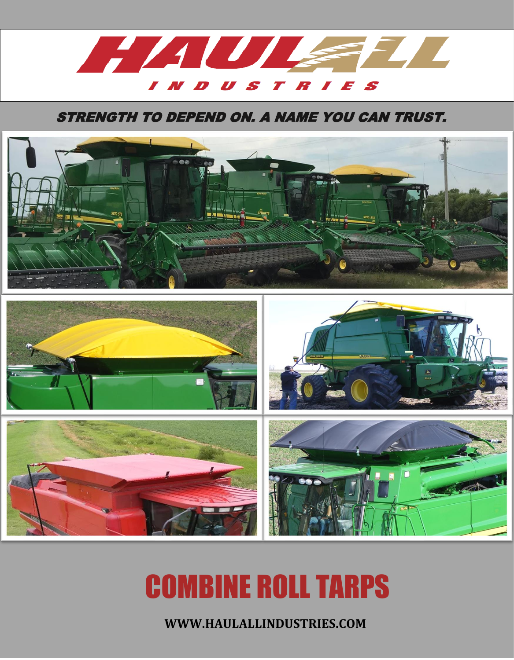

## STRENGTH TO DEPEND ON. A NAME YOU CAN TRUST.



# COMBINE ROLL TARPS

**WWW.HAULALLINDUSTRIES.COM**